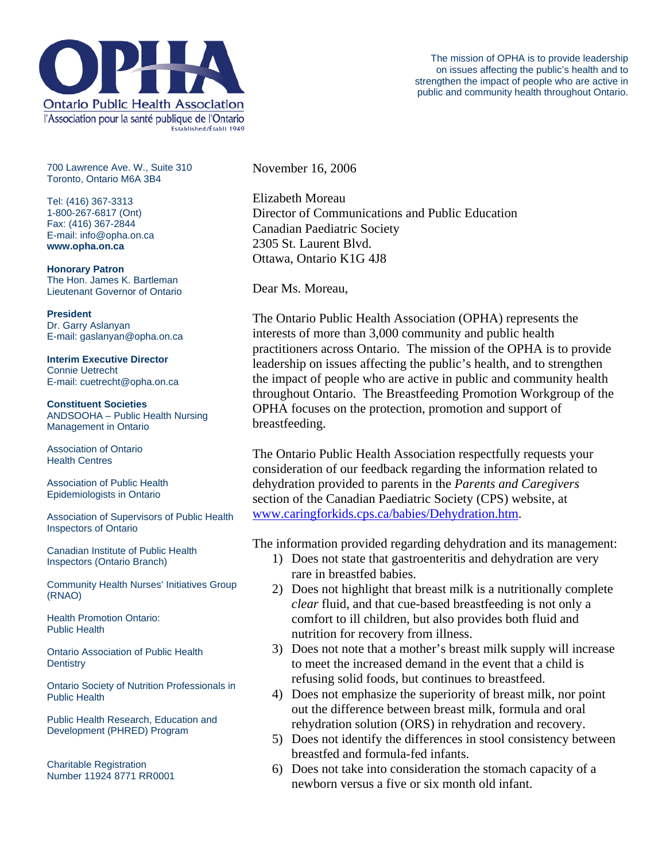

700 Lawrence Ave. W., Suite 310 Toronto, Ontario M6A 3B4

Tel: (416) 367-3313 1-800-267-6817 (Ont) Fax: (416) 367-2844 E-mail: info@opha.on.ca **www.opha.on.ca** 

**Honorary Patron**  The Hon. James K. Bartleman Lieutenant Governor of Ontario

**President**  Dr. Garry Aslanyan E-mail: gaslanyan@opha.on.ca

**Interim Executive Director**  Connie Uetrecht E-mail: cuetrecht@opha.on.ca

**Constituent Societies**  ANDSOOHA – Public Health Nursing Management in Ontario

Association of Ontario Health Centres

Association of Public Health Epidemiologists in Ontario

Association of Supervisors of Public Health Inspectors of Ontario

Canadian Institute of Public Health Inspectors (Ontario Branch)

Community Health Nurses' Initiatives Group (RNAO)

Health Promotion Ontario: Public Health

Ontario Association of Public Health **Dentistry** 

Ontario Society of Nutrition Professionals in Public Health

Public Health Research, Education and Development (PHRED) Program

Charitable Registration Number 11924 8771 RR0001 November 16, 2006

Elizabeth Moreau Director of Communications and Public Education Canadian Paediatric Society 2305 St. Laurent Blvd. Ottawa, Ontario K1G 4J8

Dear Ms. Moreau,

The Ontario Public Health Association (OPHA) represents the interests of more than 3,000 community and public health practitioners across Ontario. The mission of the OPHA is to provide leadership on issues affecting the public's health, and to strengthen the impact of people who are active in public and community health throughout Ontario. The Breastfeeding Promotion Workgroup of the OPHA focuses on the protection, promotion and support of breastfeeding.

The Ontario Public Health Association respectfully requests your consideration of our feedback regarding the information related to dehydration provided to parents in the *Parents and Caregivers* section of the Canadian Paediatric Society (CPS) website, at [www.caringforkids.cps.ca/babies/Dehydration.htm.](http://www.caringforkids.cps.ca/babies/Dehydration.htm)

The information provided regarding dehydration and its management:

- 1) Does not state that gastroenteritis and dehydration are very rare in breastfed babies.
- 2) Does not highlight that breast milk is a nutritionally complete *clear* fluid, and that cue-based breastfeeding is not only a comfort to ill children, but also provides both fluid and nutrition for recovery from illness.
- 3) Does not note that a mother's breast milk supply will increase to meet the increased demand in the event that a child is refusing solid foods, but continues to breastfeed.
- 4) Does not emphasize the superiority of breast milk, nor point out the difference between breast milk, formula and oral rehydration solution (ORS) in rehydration and recovery.
- 5) Does not identify the differences in stool consistency between breastfed and formula-fed infants.
- 6) Does not take into consideration the stomach capacity of a newborn versus a five or six month old infant.